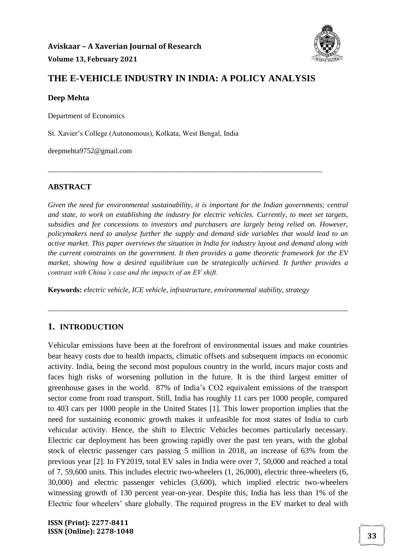

## **THE E-VEHICLE INDUSTRY IN INDIA: A POLICY ANALYSIS**

\_\_\_\_\_\_\_\_\_\_\_\_\_\_\_\_\_\_\_\_\_\_\_\_\_\_\_\_\_\_\_\_\_\_\_\_\_\_\_\_\_\_\_\_\_\_\_\_\_\_\_\_\_\_\_\_\_\_\_\_\_\_\_\_\_\_\_\_\_\_\_\_\_\_\_

#### **Deep Mehta**

Department of Economics

St. Xavier's College (Autonomous), Kolkata, West Bengal, India

deepmehta9752@gmail.com

#### **ABSTRACT**

*Given the need for environmental sustainability, it is important for the Indian governments; central and state, to work on establishing the industry for electric vehicles. Currently, to meet set targets, subsidies and fee concessions to investors and purchasers are largely being relied on. However, policymakers need to analyse further the supply and demand side variables that would lead to an active market. This paper overviews the situation in India for industry layout and demand along with the current constraints on the government. It then provides a game theoretic framework for the EV market, showing how a desired equilibrium can be strategically achieved. It further provides a contrast with China's case and the impacts of an EV shift.*

\_\_\_\_\_\_\_\_\_\_\_\_\_\_\_\_\_\_\_\_\_\_\_\_\_\_\_\_\_\_\_\_\_\_\_\_\_\_\_\_\_\_\_\_\_\_\_\_\_\_\_\_\_\_\_\_\_\_\_\_\_\_\_\_\_\_\_\_\_\_\_\_\_\_\_\_\_\_\_\_\_\_

**Keywords:** *electric vehicle, ICE vehicle, infrastructure, environmental stability, strategy*

## **1. INTRODUCTION**

Vehicular emissions have been at the forefront of environmental issues and make countries bear heavy costs due to health impacts, climatic offsets and subsequent impacts on economic activity. India, being the second most populous country in the world, incurs major costs and faces high risks of worsening pollution in the future. It is the third largest emitter of greenhouse gases in the world. 87% of India's CO2 equivalent emissions of the transport sector come from road transport. Still, India has roughly 11 cars per 1000 people, compared to 403 cars per 1000 people in the United States [1]. This lower proportion implies that the need for sustaining economic growth makes it unfeasible for most states of India to curb vehicular activity. Hence, the shift to Electric Vehicles becomes particularly necessary. Electric car deployment has been growing rapidly over the past ten years, with the global stock of electric passenger cars passing 5 million in 2018, an increase of 63% from the previous year [2]. In FY2019, total EV sales in India were over 7, 50,000 and reached a total of 7, 59,600 units. This includes electric two-wheelers (1, 26,000), electric three-wheelers (6, 30,000) and electric passenger vehicles (3,600), which implied electric two-wheelers witnessing growth of 130 percent year-on-year. Despite this, India has less than 1% of the Electric four wheelers' share globally. The required progress in the EV market to deal with

**ISSN (Print): 2277-8411 ISSN (Online): 2278-1048 33**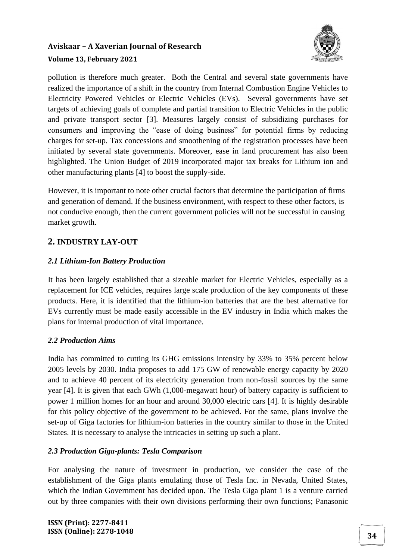

pollution is therefore much greater. Both the Central and several state governments have realized the importance of a shift in the country from Internal Combustion Engine Vehicles to Electricity Powered Vehicles or Electric Vehicles (EVs). Several governments have set targets of achieving goals of complete and partial transition to Electric Vehicles in the public and private transport sector [3]. Measures largely consist of subsidizing purchases for consumers and improving the "ease of doing business" for potential firms by reducing charges for set-up. Tax concessions and smoothening of the registration processes have been initiated by several state governments. Moreover, ease in land procurement has also been highlighted. The Union Budget of 2019 incorporated major tax breaks for Lithium ion and other manufacturing plants [4] to boost the supply-side.

However, it is important to note other crucial factors that determine the participation of firms and generation of demand. If the business environment, with respect to these other factors, is not conducive enough, then the current government policies will not be successful in causing market growth.

## **2. INDUSTRY LAY-OUT**

### *2.1 Lithium-Ion Battery Production*

It has been largely established that a sizeable market for Electric Vehicles, especially as a replacement for ICE vehicles, requires large scale production of the key components of these products. Here, it is identified that the lithium-ion batteries that are the best alternative for EVs currently must be made easily accessible in the EV industry in India which makes the plans for internal production of vital importance.

#### *2.2 Production Aims*

India has committed to cutting its GHG emissions intensity by 33% to 35% percent below 2005 levels by 2030. India proposes to add 175 GW of renewable energy capacity by 2020 and to achieve 40 percent of its electricity generation from non-fossil sources by the same year [4]. It is given that each GWh (1,000-megawatt hour) of battery capacity is sufficient to power 1 million homes for an hour and around 30,000 electric cars [4]. It is highly desirable for this policy objective of the government to be achieved. For the same, plans involve the set-up of Giga factories for lithium-ion batteries in the country similar to those in the United States. It is necessary to analyse the intricacies in setting up such a plant.

#### *2.3 Production Giga-plants: Tesla Comparison*

For analysing the nature of investment in production, we consider the case of the establishment of the Giga plants emulating those of Tesla Inc. in Nevada, United States, which the Indian Government has decided upon. The Tesla Giga plant 1 is a venture carried out by three companies with their own divisions performing their own functions; Panasonic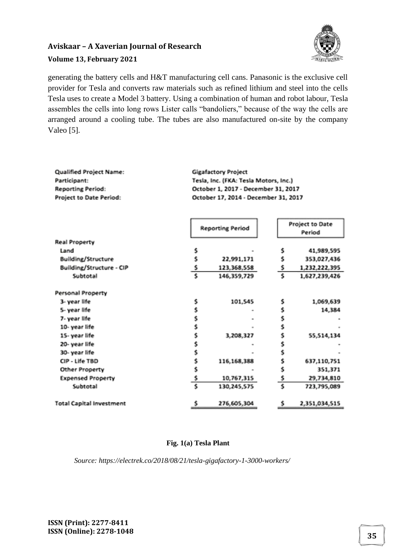

generating the battery cells and H&T manufacturing cell cans. Panasonic is the exclusive cell provider for Tesla and converts raw materials such as refined lithium and steel into the cells Tesla uses to create a Model 3 battery. Using a combination of human and robot labour, Tesla assembles the cells into long rows Lister calls "bandoliers," because of the way the cells are arranged around a cooling tube. The tubes are also manufactured on-site by the company Valeo [5].

| Qualified Project Name:<br>Participant:<br><b>Reporting Period:</b><br>Project to Date Period: | <b>Gigafactory Project</b><br>Tesla, Inc. (FKA: Tesla Motors, Inc.)<br>October 1, 2017 - December 31, 2017<br>October 17, 2014 - December 31, 2017<br>Project to Date<br><b>Reporting Period</b> |             |    |               |
|------------------------------------------------------------------------------------------------|--------------------------------------------------------------------------------------------------------------------------------------------------------------------------------------------------|-------------|----|---------------|
| <b>Real Property</b>                                                                           |                                                                                                                                                                                                  |             |    | Period        |
| Land                                                                                           | \$                                                                                                                                                                                               |             | s  | 41,989,595    |
| <b>Building/Structure</b>                                                                      | \$                                                                                                                                                                                               | 22,991,171  | s  | 353,027,436   |
| Building/Structure - CIP                                                                       |                                                                                                                                                                                                  | 123,368,558 | \$ | 1,232,222,395 |
| Subtotal                                                                                       | $\frac{5}{5}$                                                                                                                                                                                    | 146,359,729 | \$ | 1,627,239,426 |
| Personal Property                                                                              |                                                                                                                                                                                                  |             |    |               |
| 3- year life                                                                                   | \$                                                                                                                                                                                               | 101,545     | s  | 1,069,639     |
| 5- year life                                                                                   | \$                                                                                                                                                                                               |             | \$ | 14,384        |
| 7- year life                                                                                   | \$                                                                                                                                                                                               |             | \$ |               |
| 10-year life                                                                                   | \$                                                                                                                                                                                               |             | \$ |               |
| 15-year life                                                                                   | \$                                                                                                                                                                                               | 3,208,327   | \$ | 55,514,134    |
| 20-year life                                                                                   | \$                                                                                                                                                                                               |             | \$ |               |
| 30- year life                                                                                  | \$                                                                                                                                                                                               |             | \$ |               |
| CIP - Life TBD                                                                                 | \$                                                                                                                                                                                               | 116,168,388 | \$ | 637,110,751   |
| Other Property                                                                                 | \$                                                                                                                                                                                               |             | \$ | 351,371       |
| <b>Expensed Property</b>                                                                       | $\frac{5}{5}$                                                                                                                                                                                    | 10,767,315  | \$ | 29,734,810    |
| Subtotal                                                                                       |                                                                                                                                                                                                  | 130,245,575 | \$ | 723,795,089   |
| <b>Total Capital Investment</b>                                                                | \$                                                                                                                                                                                               | 276,605,304 | \$ | 2,351,034,515 |

#### **Fig. 1(a) Tesla Plant**

*Source: https://electrek.co/2018/08/21/tesla-gigafactory-1-3000-workers/*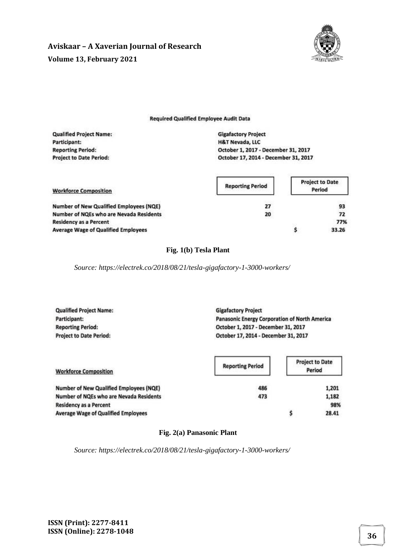

#### **Required Qualified Employee Audit Data**

| <b>Qualified Project Name:</b> | <b>Gigafactory Project</b>           |
|--------------------------------|--------------------------------------|
| Participant:                   | <b>H&amp;T Nevada, LLC</b>           |
| <b>Reporting Period:</b>       | October 1, 2017 - December 31, 2017  |
| <b>Project to Date Period:</b> | October 17, 2014 - December 31, 2017 |
|                                |                                      |

| <b>Workforce Composition</b>                   | <b>Reporting Period</b> | <b>Project to Date</b><br>Period |
|------------------------------------------------|-------------------------|----------------------------------|
| <b>Number of New Qualified Employees (NQE)</b> | 27                      | 93                               |
| Number of NQEs who are Nevada Residents        | 20                      | 72                               |
| <b>Residency as a Percent</b>                  |                         | 77%                              |
| <b>Average Wage of Qualified Employees</b>     |                         | 33.26                            |

#### **Fig. 1(b) Tesla Plant**

*Source: https://electrek.co/2018/08/21/tesla-gigafactory-1-3000-workers/*

| <b>Qualified Project Name:</b> | <b>Gigafactory Project</b>                    |
|--------------------------------|-----------------------------------------------|
| Participant:                   | Panasonic Energy Corporation of North America |
| <b>Reporting Period:</b>       | October 1, 2017 - December 31, 2017           |
| <b>Project to Date Period:</b> | October 17, 2014 - December 31, 2017          |

| <b>Workforce Composition</b>               | <b>Reporting Period</b> | <b>Project to Date</b><br>Period |
|--------------------------------------------|-------------------------|----------------------------------|
| Number of New Qualified Employees (NQE)    | 486                     | 1,201                            |
| Number of NQEs who are Nevada Residents    | 473                     | 1,182                            |
| <b>Residency as a Percent</b>              |                         | 98%                              |
| <b>Average Wage of Qualified Employees</b> |                         | 28.41                            |

#### **Fig. 2(a) Panasonic Plant**

*Source: https://electrek.co/2018/08/21/tesla-gigafactory-1-3000-workers/*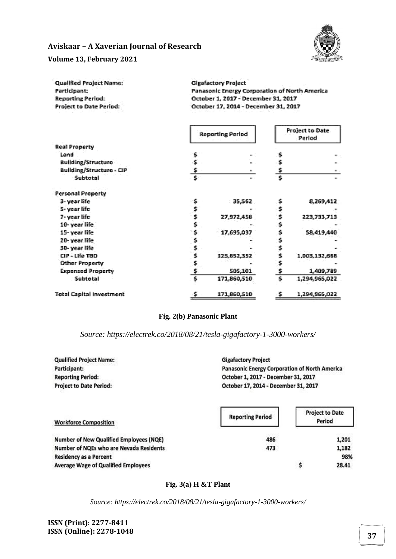

#### **Volume 13, February 2021**

| <b>Qualified Project Name:</b> | <b>Gigafactory Project</b>                                                              |
|--------------------------------|-----------------------------------------------------------------------------------------|
| Participant:                   | Panasonic Energy Corporation of North America                                           |
| <b>Reporting Period:</b>       | October 1, 2017 - December 31, 2017                                                     |
| <b>Project to Date Period:</b> | October 17, 2014 - December 31, 2017<br>100 Hz State School Hotel School School Affilia |

|                          | <b>Reporting Period</b> |             | <b>Project to Date</b><br>Period |               |
|--------------------------|-------------------------|-------------|----------------------------------|---------------|
| <b>Real Property</b>     |                         |             |                                  |               |
| Land                     | \$                      |             | \$                               |               |
| Building/Structure       | \$                      |             | $\mathbf{r}_i$                   |               |
| Building/Structure - CIP | $\ddot{\bullet}$        | u.          | \$                               | œ.            |
| Subtotal                 | $\overline{\mathbf{s}}$ | m.          | s                                |               |
| <b>Personal Property</b> |                         |             |                                  |               |
| 3- year life             | 悸                       | 35,562      | Ş.                               | 8,269,412     |
| 5-year life              | \$,                     |             | \$,                              |               |
| 7- year life             | $\hat{\mathbf{S}}$      | 27,972,458  | Ś                                | 223,733,713   |
| 10-year life,            | \$                      |             | \$.                              |               |
| 15-year life             | \$.                     | 17,695,037  | Ś                                | 58.419.440    |
| 20- year life            | \$                      |             | \$                               |               |
| 30-year life             |                         |             | \$                               |               |
| CIP - Life TBD           | $\frac{5}{5}$           | 125,652,352 | \$,                              | 1,003,132,668 |
| <b>Other Property</b>    | \$.                     |             | š                                |               |
| <b>Expensed Property</b> | \$                      | 505,101     | \$                               | 1,409,789     |
| <b>Subtotal</b>          | $\overline{\mathbf{5}}$ | 171,860,510 | 7                                | 1,294,965,022 |
| Total Capital Investment | \$                      | 171,860,510 | - 51                             | 1,294,965,022 |

#### **Fig. 2(b) Panasonic Plant**

*Source: https://electrek.co/2018/08/21/tesla-gigafactory-1-3000-workers/*

**Qualified Project Name:** Participant: **Reporting Period: Project to Date Period:** 

**Gigafactory Project** Panasonic Energy Corporation of North America October 1, 2017 - December 31, 2017 October 17, 2014 - December 31, 2017

| <b>Workforce Composition</b>               | <b>Reporting Period</b> | <b>Project to Date</b><br>Period |
|--------------------------------------------|-------------------------|----------------------------------|
| Number of New Qualified Employees (NQE)    | 486                     | 1,201                            |
| Number of NQEs who are Nevada Residents    | 473                     | 1,182                            |
| <b>Residency as a Percent</b>              |                         | 98%                              |
| <b>Average Wage of Qualified Employees</b> |                         | 28.41                            |

#### **Fig. 3(a) H &T Plant**

*Source: https://electrek.co/2018/08/21/tesla-gigafactory-1-3000-workers/*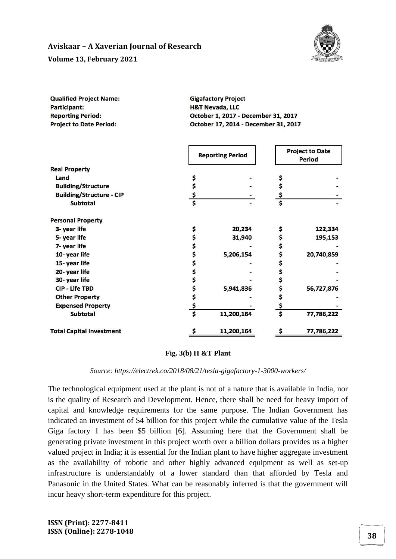

| <b>Qualified Project Name:</b> | <b>Gigafactory Project</b>           |
|--------------------------------|--------------------------------------|
| <b>Participant:</b>            | <b>H&amp;T Nevada, LLC</b>           |
| <b>Reporting Period:</b>       | October 1, 2017 - December 31, 2017  |
| <b>Project to Date Period:</b> | October 17, 2014 - December 31, 2017 |

|                                 | <b>Reporting Period</b> |            |                         | <b>Project to Date</b><br>Period |  |
|---------------------------------|-------------------------|------------|-------------------------|----------------------------------|--|
| <b>Real Property</b>            |                         |            |                         |                                  |  |
| Land                            |                         |            |                         |                                  |  |
| <b>Building/Structure</b>       | \$                      |            | \$                      |                                  |  |
| <b>Building/Structure - CIP</b> | \$                      |            |                         |                                  |  |
| <b>Subtotal</b>                 | $\overline{\mathsf{s}}$ |            | $\overline{\mathsf{s}}$ |                                  |  |
| <b>Personal Property</b>        |                         |            |                         |                                  |  |
| 3- year life                    | \$                      | 20,234     | \$                      | 122,334                          |  |
| 5-year life                     | \$                      | 31,940     | \$                      | 195,153                          |  |
| 7- year life                    | \$                      |            | \$                      |                                  |  |
| 10-year life                    | \$                      | 5,206,154  | \$                      | 20,740,859                       |  |
| 15-year life                    | \$                      |            | \$                      |                                  |  |
| 20-year life                    | \$                      |            | \$                      |                                  |  |
| 30-year life                    | \$                      |            | \$                      |                                  |  |
| <b>CIP - Life TBD</b>           | \$                      | 5,941,836  | Ş                       | 56,727,876                       |  |
| <b>Other Property</b>           | \$                      |            | Ş                       |                                  |  |
| <b>Expensed Property</b>        | \$                      |            | \$                      |                                  |  |
| <b>Subtotal</b>                 | $\overline{\mathsf{s}}$ | 11,200,164 | \$                      | 77,786,222                       |  |
| <b>Total Capital Investment</b> |                         | 11,200,164 |                         | 77,786,222                       |  |

#### **Fig. 3(b) H &T Plant**

#### *Source: https://electrek.co/2018/08/21/tesla-gigafactory-1-3000-workers/*

The technological equipment used at the plant is not of a nature that is available in India, nor is the quality of Research and Development. Hence, there shall be need for heavy import of capital and knowledge requirements for the same purpose. The Indian Government has indicated an investment of \$4 billion for this project while the cumulative value of the Tesla Giga factory 1 has been \$5 billion [6]. Assuming here that the Government shall be generating private investment in this project worth over a billion dollars provides us a higher valued project in India; it is essential for the Indian plant to have higher aggregate investment as the availability of robotic and other highly advanced equipment as well as set-up infrastructure is understandably of a lower standard than that afforded by Tesla and Panasonic in the United States. What can be reasonably inferred is that the government will incur heavy short-term expenditure for this project.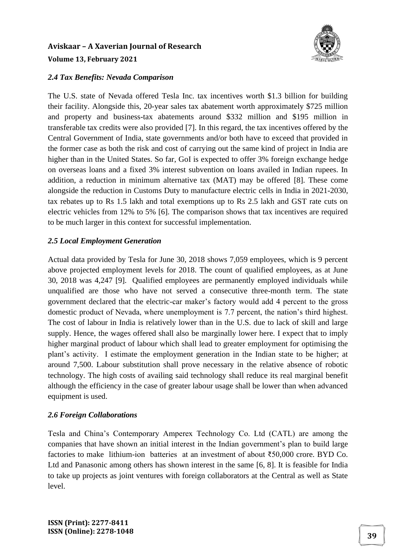

### *2.4 Tax Benefits: Nevada Comparison*

The U.S. state of Nevada offered Tesla Inc. tax incentives worth \$1.3 billion for building their facility. Alongside this, 20-year sales tax abatement worth approximately \$725 million and property and business-tax abatements around \$332 million and \$195 million in transferable tax credits were also provided [7]. In this regard, the tax incentives offered by the Central Government of India, state governments and/or both have to exceed that provided in the former case as both the risk and cost of carrying out the same kind of project in India are higher than in the United States. So far, GoI is expected to offer 3% foreign exchange hedge on overseas loans and a fixed 3% interest subvention on loans availed in Indian rupees. In addition, a reduction in minimum alternative tax (MAT) may be offered [8]. These come alongside the reduction in Customs Duty to manufacture electric cells in India in 2021-2030, tax rebates up to Rs 1.5 lakh and total exemptions up to Rs 2.5 lakh and GST rate cuts on electric vehicles from 12% to 5% [6]. The comparison shows that tax incentives are required to be much larger in this context for successful implementation.

### *2.5 Local Employment Generation*

Actual data provided by Tesla for June 30, 2018 shows 7,059 employees, which is 9 percent above projected employment levels for 2018. The count of qualified employees, as at June 30, 2018 was 4,247 [9]. Qualified employees are permanently employed individuals while unqualified are those who have not served a consecutive three-month term. The state government declared that the electric-car maker's factory would add 4 percent to the gross domestic product of Nevada, where unemployment is 7.7 percent, the nation's third highest. The cost of labour in India is relatively lower than in the U.S. due to lack of skill and large supply. Hence, the wages offered shall also be marginally lower here. I expect that to imply higher marginal product of labour which shall lead to greater employment for optimising the plant's activity. I estimate the employment generation in the Indian state to be higher; at around 7,500. Labour substitution shall prove necessary in the relative absence of robotic technology. The high costs of availing said technology shall reduce its real marginal benefit although the efficiency in the case of greater labour usage shall be lower than when advanced equipment is used.

## *2.6 Foreign Collaborations*

Tesla and China's Contemporary Amperex Technology Co. Ltd (CATL) are among the companies that have shown an initial interest in the Indian government's plan to build large factories to make lithium-ion batteries at an investment of about ₹50,000 crore. BYD Co. Ltd and Panasonic among others has shown interest in the same [6, 8]. It is feasible for India to take up projects as joint ventures with foreign collaborators at the Central as well as State level.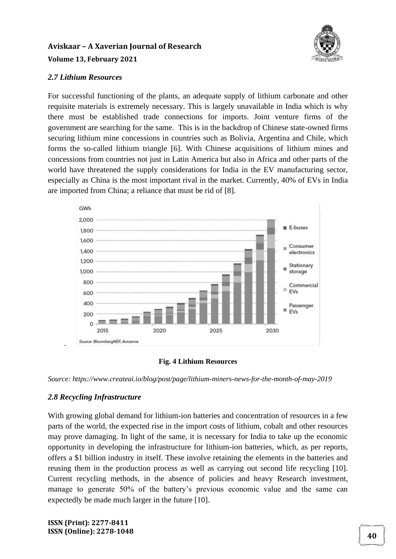

### *2.7 Lithium Resources*

For successful functioning of the plants, an adequate supply of lithium carbonate and other requisite materials is extremely necessary. This is largely unavailable in India which is why there must be established trade connections for imports. Joint venture firms of the government are searching for the same. This is in the backdrop of Chinese state-owned firms securing lithium mine concessions in countries such as Bolivia, Argentina and Chile, which forms the so-called lithium triangle [6]. With Chinese acquisitions of lithium mines and concessions from countries not just in Latin America but also in Africa and other parts of the world have threatened the supply considerations for India in the EV manufacturing sector, especially as China is the most important rival in the market. Currently, 40% of EVs in India are imported from China; a reliance that must be rid of [8].



#### **Fig. 4 Lithium Resources**

*Source: https://www.createai.io/blog/post/page/lithium-miners-news-for-the-month-of-may-2019*

#### *2.8 Recycling Infrastructure*

.

With growing global demand for lithium-ion batteries and concentration of resources in a few parts of the world, the expected rise in the import costs of lithium, cobalt and other resources may prove damaging. In light of the same, it is necessary for India to take up the economic opportunity in developing the infrastructure for lithium-ion batteries, which, as per reports, offers a \$1 billion industry in itself. These involve retaining the elements in the batteries and reusing them in the production process as well as carrying out second life recycling [10]. Current recycling methods, in the absence of policies and heavy Research investment, manage to generate 50% of the battery's previous economic value and the same can expectedly be made much larger in the future [10].

**ISSN (Print): 2277-8411 ISSN (Online): 2278-1048 <sup>40</sup>**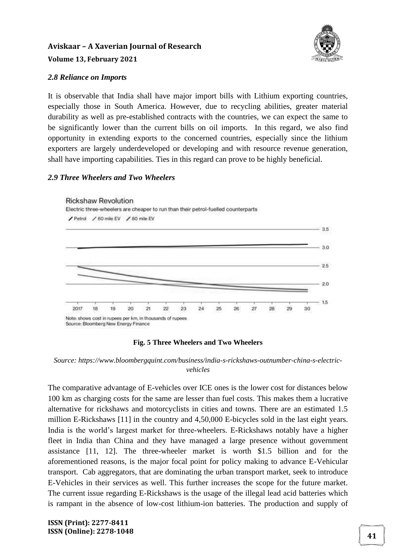

### *2.8 Reliance on Imports*

It is observable that India shall have major import bills with Lithium exporting countries, especially those in South America. However, due to recycling abilities, greater material durability as well as pre-established contracts with the countries, we can expect the same to be significantly lower than the current bills on oil imports. In this regard, we also find opportunity in extending exports to the concerned countries, especially since the lithium exporters are largely underdeveloped or developing and with resource revenue generation, shall have importing capabilities. Ties in this regard can prove to be highly beneficial.

### *2.9 Three Wheelers and Two Wheelers*



#### **Fig. 5 Three Wheelers and Two Wheelers**

*Source: https://www.bloombergquint.com/business/india-s-rickshaws-outnumber-china-s-electricvehicles*

The comparative advantage of E-vehicles over ICE ones is the lower cost for distances below 100 km as charging costs for the same are lesser than fuel costs. This makes them a lucrative alternative for rickshaws and motorcyclists in cities and towns. There are an estimated 1.5 million E-Rickshaws [11] in the country and 4,50,000 E-bicycles sold in the last eight years. India is the world's largest market for three-wheelers. E-Rickshaws notably have a higher fleet in India than China and they have managed a large presence without government assistance [11, 12]. The three-wheeler market is worth \$1.5 billion and for the aforementioned reasons, is the major focal point for policy making to advance E-Vehicular transport. Cab aggregators, that are dominating the urban transport market, seek to introduce E-Vehicles in their services as well. This further increases the scope for the future market. The current issue regarding E-Rickshaws is the usage of the illegal lead acid batteries which is rampant in the absence of low-cost lithium-ion batteries. The production and supply of

**ISSN (Print): 2277-8411 ISSN (Online): 2278-1048 41**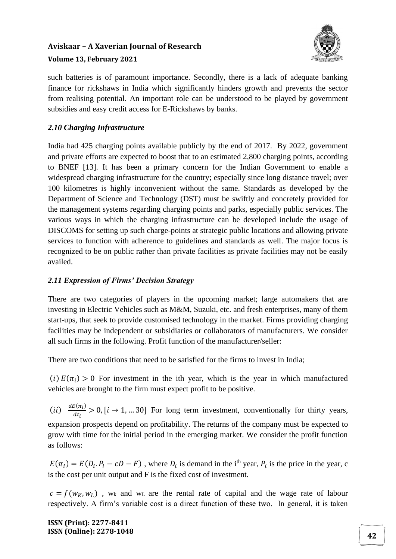

### **Volume 13, February 2021**

such batteries is of paramount importance. Secondly, there is a lack of adequate banking finance for rickshaws in India which significantly hinders growth and prevents the sector from realising potential. An important role can be understood to be played by government subsidies and easy credit access for E-Rickshaws by banks.

## *2.10 Charging Infrastructure*

India had 425 charging points available publicly by the end of 2017. By 2022, government and private efforts are expected to boost that to an estimated 2,800 charging points, according to BNEF [13]. It has been a primary concern for the Indian Government to enable a widespread charging infrastructure for the country; especially since long distance travel; over 100 kilometres is highly inconvenient without the same. Standards as developed by the Department of Science and Technology (DST) must be swiftly and concretely provided for the management systems regarding charging points and parks, especially public services. The various ways in which the charging infrastructure can be developed include the usage of DISCOMS for setting up such charge-points at strategic public locations and allowing private services to function with adherence to guidelines and standards as well. The major focus is recognized to be on public rather than private facilities as private facilities may not be easily availed.

## *2.11 Expression of Firms' Decision Strategy*

There are two categories of players in the upcoming market; large automakers that are investing in Electric Vehicles such as M&M, Suzuki, etc. and fresh enterprises, many of them start-ups, that seek to provide customised technology in the market. Firms providing charging facilities may be independent or subsidiaries or collaborators of manufacturers. We consider all such firms in the following. Profit function of the manufacturer/seller:

There are two conditions that need to be satisfied for the firms to invest in India;

(i)  $E(\pi_i) > 0$  For investment in the ith year, which is the year in which manufactured vehicles are brought to the firm must expect profit to be positive.

 $(ii) \frac{dE(\pi_i)}{dt}$  $\frac{\partial u_{ij}}{\partial t_i} > 0$ ,  $[i \rightarrow 1, ... 30]$  For long term investment, conventionally for thirty years, expansion prospects depend on profitability. The returns of the company must be expected to grow with time for the initial period in the emerging market. We consider the profit function as follows:

 $E(\pi_i) = E(D_i, P_i - cD - F)$ , where  $D_i$  is demand in the i<sup>th</sup> year,  $P_i$  is the price in the year, c is the cost per unit output and F is the fixed cost of investment.

 $c = f(w_K, w_L)$ , w<sub>k</sub> and w<sub>L</sub> are the rental rate of capital and the wage rate of labour respectively. A firm's variable cost is a direct function of these two. In general, it is taken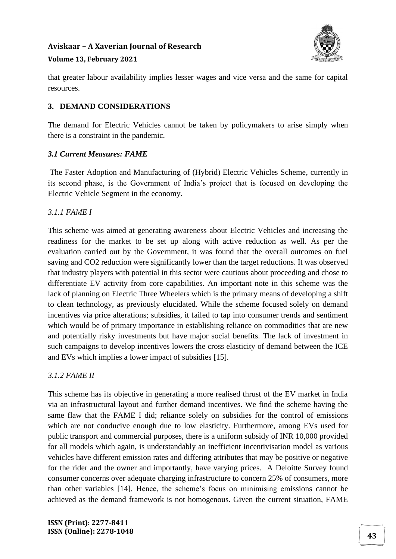

#### **Volume 13, February 2021**

that greater labour availability implies lesser wages and vice versa and the same for capital resources.

### **3. DEMAND CONSIDERATIONS**

The demand for Electric Vehicles cannot be taken by policymakers to arise simply when there is a constraint in the pandemic.

#### *3.1 Current Measures: FAME*

The Faster Adoption and Manufacturing of (Hybrid) Electric Vehicles Scheme, currently in its second phase, is the Government of India's project that is focused on developing the Electric Vehicle Segment in the economy.

## *3.1.1 FAME I*

This scheme was aimed at generating awareness about Electric Vehicles and increasing the readiness for the market to be set up along with active reduction as well. As per the evaluation carried out by the Government, it was found that the overall outcomes on fuel saving and CO2 reduction were significantly lower than the target reductions. It was observed that industry players with potential in this sector were cautious about proceeding and chose to differentiate EV activity from core capabilities. An important note in this scheme was the lack of planning on Electric Three Wheelers which is the primary means of developing a shift to clean technology, as previously elucidated. While the scheme focused solely on demand incentives via price alterations; subsidies, it failed to tap into consumer trends and sentiment which would be of primary importance in establishing reliance on commodities that are new and potentially risky investments but have major social benefits. The lack of investment in such campaigns to develop incentives lowers the cross elasticity of demand between the ICE and EVs which implies a lower impact of subsidies [15].

#### *3.1.2 FAME II*

This scheme has its objective in generating a more realised thrust of the EV market in India via an infrastructural layout and further demand incentives. We find the scheme having the same flaw that the FAME I did; reliance solely on subsidies for the control of emissions which are not conducive enough due to low elasticity. Furthermore, among EVs used for public transport and commercial purposes, there is a uniform subsidy of INR 10,000 provided for all models which again, is understandably an inefficient incentivisation model as various vehicles have different emission rates and differing attributes that may be positive or negative for the rider and the owner and importantly, have varying prices. A Deloitte Survey found consumer concerns over adequate charging infrastructure to concern 25% of consumers, more than other variables [14]. Hence, the scheme's focus on minimising emissions cannot be achieved as the demand framework is not homogenous. Given the current situation, FAME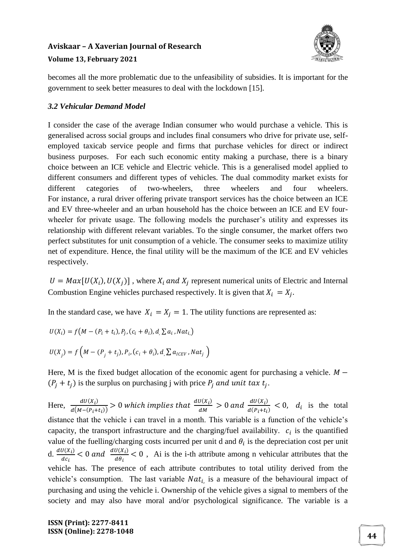

becomes all the more problematic due to the unfeasibility of subsidies. It is important for the government to seek better measures to deal with the lockdown [15].

### *3.2 Vehicular Demand Model*

I consider the case of the average Indian consumer who would purchase a vehicle. This is generalised across social groups and includes final consumers who drive for private use, selfemployed taxicab service people and firms that purchase vehicles for direct or indirect business purposes. For each such economic entity making a purchase, there is a binary choice between an ICE vehicle and Electric vehicle. This is a generalised model applied to different consumers and different types of vehicles. The dual commodity market exists for different categories of two-wheelers, three wheelers and four wheelers. For instance, a rural driver offering private transport services has the choice between an ICE and EV three-wheeler and an urban household has the choice between an ICE and EV fourwheeler for private usage. The following models the purchaser's utility and expresses its relationship with different relevant variables. To the single consumer, the market offers two perfect substitutes for unit consumption of a vehicle. The consumer seeks to maximize utility net of expenditure. Hence, the final utility will be the maximum of the ICE and EV vehicles respectively.

 $U = Max[U(X_i),U(X_j)]$ , where  $X_i$  and  $X_j$  represent numerical units of Electric and Internal Combustion Engine vehicles purchased respectively. It is given that  $X_i = X_j$ .

In the standard case, we have  $X_i = X_j = 1$ . The utility functions are represented as:

$$
U(X_i) = f\big(M - (P_i + t_i), P_j, (c_i + \theta_i), d, \sum a_i, Nat_i\big)
$$

$$
U(X_j) = f\left(M - (P_j + t_j), P_i, (c_i + \theta_i), d, \sum a_{ICEV}, Nat_j\right)
$$

Here, M is the fixed budget allocation of the economic agent for purchasing a vehicle.  $M (P_j + t_j)$  is the surplus on purchasing j with price  $P_j$  and unit tax  $t_j$ .

Here,  $\frac{dU(X_i)}{dM(x_i)}$  $\frac{dU(X_i)}{d(M-(P_i+t_i))} > 0$  which implies that  $\frac{dU(X_i)}{dM}$  $\frac{dU(X_i)}{dM} > 0$  and  $\frac{dU(X_i)}{d(P_i+t_i)}$  $\frac{d\theta(A_i)}{d(P_i+t_i)} < 0$ ,  $d_i$  is the total distance that the vehicle i can travel in a month. This variable is a function of the vehicle's capacity, the transport infrastructure and the charging/fuel availability.  $c_i$  is the quantified value of the fuelling/charging costs incurred per unit d and  $\theta_i$  is the depreciation cost per unit d.  $\frac{dU(X_i)}{dx}$  $\frac{dU(X_i)}{dC_i}$  < 0 and  $\frac{dU(X_i)}{d\theta_i}$  $\frac{\partial (x_i)}{\partial \theta_i}$  < 0, Ai is the i-th attribute among n vehicular attributes that the vehicle has. The presence of each attribute contributes to total utility derived from the vehicle's consumption. The last variable  $Nat_{i}$  is a measure of the behavioural impact of purchasing and using the vehicle i. Ownership of the vehicle gives a signal to members of the society and may also have moral and/or psychological significance. The variable is a

**ISSN (Print): 2277-8411 ISSN (Online): 2278-1048 <sup>44</sup>**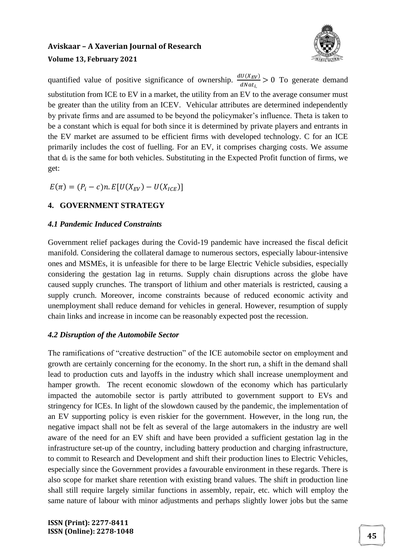

quantified value of positive significance of ownership.  $\frac{dU(X_{EV})}{dNat_{i}} > 0$  To generate demand substitution from ICE to EV in a market, the utility from an EV to the average consumer must be greater than the utility from an ICEV. Vehicular attributes are determined independently by private firms and are assumed to be beyond the policymaker's influence. Theta is taken to be a constant which is equal for both since it is determined by private players and entrants in the EV market are assumed to be efficient firms with developed technology. C for an ICE primarily includes the cost of fuelling. For an EV, it comprises charging costs. We assume that d<sup>i</sup> is the same for both vehicles. Substituting in the Expected Profit function of firms, we get:

 $E(\pi) = (P_i - c)n$ .  $E[U(X_{EV}) - U(X_{ICF})]$ 

## **4. GOVERNMENT STRATEGY**

#### *4.1 Pandemic Induced Constraints*

Government relief packages during the Covid-19 pandemic have increased the fiscal deficit manifold. Considering the collateral damage to numerous sectors, especially labour-intensive ones and MSMEs, it is unfeasible for there to be large Electric Vehicle subsidies, especially considering the gestation lag in returns. Supply chain disruptions across the globe have caused supply crunches. The transport of lithium and other materials is restricted, causing a supply crunch. Moreover, income constraints because of reduced economic activity and unemployment shall reduce demand for vehicles in general. However, resumption of supply chain links and increase in income can be reasonably expected post the recession.

#### *4.2 Disruption of the Automobile Sector*

The ramifications of "creative destruction" of the ICE automobile sector on employment and growth are certainly concerning for the economy. In the short run, a shift in the demand shall lead to production cuts and layoffs in the industry which shall increase unemployment and hamper growth. The recent economic slowdown of the economy which has particularly impacted the automobile sector is partly attributed to government support to EVs and stringency for ICEs. In light of the slowdown caused by the pandemic, the implementation of an EV supporting policy is even riskier for the government. However, in the long run, the negative impact shall not be felt as several of the large automakers in the industry are well aware of the need for an EV shift and have been provided a sufficient gestation lag in the infrastructure set-up of the country, including battery production and charging infrastructure, to commit to Research and Development and shift their production lines to Electric Vehicles, especially since the Government provides a favourable environment in these regards. There is also scope for market share retention with existing brand values. The shift in production line shall still require largely similar functions in assembly, repair, etc. which will employ the same nature of labour with minor adjustments and perhaps slightly lower jobs but the same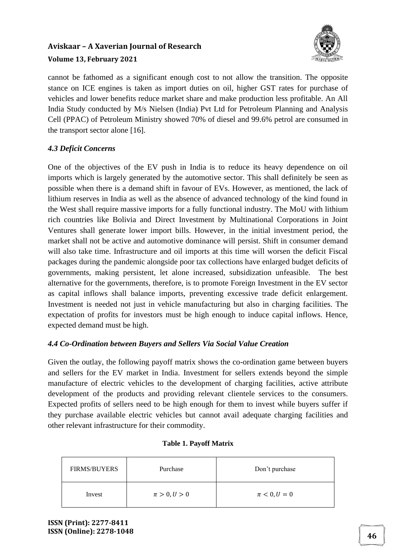

cannot be fathomed as a significant enough cost to not allow the transition. The opposite stance on ICE engines is taken as import duties on oil, higher GST rates for purchase of vehicles and lower benefits reduce market share and make production less profitable. An All India Study conducted by M/s Nielsen (India) Pvt Ltd for Petroleum Planning and Analysis Cell (PPAC) of Petroleum Ministry showed 70% of diesel and 99.6% petrol are consumed in the transport sector alone [16].

## *4.3 Deficit Concerns*

One of the objectives of the EV push in India is to reduce its heavy dependence on oil imports which is largely generated by the automotive sector. This shall definitely be seen as possible when there is a demand shift in favour of EVs. However, as mentioned, the lack of lithium reserves in India as well as the absence of advanced technology of the kind found in the West shall require massive imports for a fully functional industry. The MoU with lithium rich countries like Bolivia and Direct Investment by Multinational Corporations in Joint Ventures shall generate lower import bills. However, in the initial investment period, the market shall not be active and automotive dominance will persist. Shift in consumer demand will also take time. Infrastructure and oil imports at this time will worsen the deficit Fiscal packages during the pandemic alongside poor tax collections have enlarged budget deficits of governments, making persistent, let alone increased, subsidization unfeasible. The best alternative for the governments, therefore, is to promote Foreign Investment in the EV sector as capital inflows shall balance imports, preventing excessive trade deficit enlargement. Investment is needed not just in vehicle manufacturing but also in charging facilities. The expectation of profits for investors must be high enough to induce capital inflows. Hence, expected demand must be high.

## *4.4 Co-Ordination between Buyers and Sellers Via Social Value Creation*

Given the outlay, the following payoff matrix shows the co-ordination game between buyers and sellers for the EV market in India. Investment for sellers extends beyond the simple manufacture of electric vehicles to the development of charging facilities, active attribute development of the products and providing relevant clientele services to the consumers. Expected profits of sellers need to be high enough for them to invest while buyers suffer if they purchase available electric vehicles but cannot avail adequate charging facilities and other relevant infrastructure for their commodity.

| <b>FIRMS/BUYERS</b> | Purchase         | Don't purchase   |
|---------------------|------------------|------------------|
| Invest              | $\pi > 0, U > 0$ | $\pi < 0, U = 0$ |

#### **Table 1. Payoff Matrix**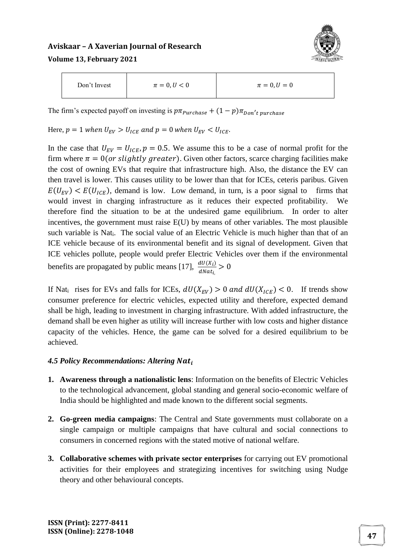

| Don't Invest | $\pi = 0, U < 0$ | $\pi = 0, U = 0$ |  |
|--------------|------------------|------------------|--|
|--------------|------------------|------------------|--|

The firm's expected payoff on investing is  $p\pi_{\text{p}}$ <sub>urchase</sub> +  $(1-p)\pi_{\text{Don'}}$ <sub>t purchase</sub>

Here,  $p = 1$  when  $U_{EV} > U_{ICE}$  and  $p = 0$  when  $U_{EV} < U_{ICE}$ .

In the case that  $U_{EV} = U_{ICE}$ ,  $p = 0.5$ . We assume this to be a case of normal profit for the firm where  $\pi = 0$  (or slightly greater). Given other factors, scarce charging facilities make the cost of owning EVs that require that infrastructure high. Also, the distance the EV can then travel is lower. This causes utility to be lower than that for ICEs, ceteris paribus. Given  $E(U_{EV}) < E(U_{ICE})$ , demand is low. Low demand, in turn, is a poor signal to firms that would invest in charging infrastructure as it reduces their expected profitability. We therefore find the situation to be at the undesired game equilibrium. In order to alter incentives, the government must raise E(U) by means of other variables. The most plausible such variable is Nat<sub>i</sub>. The social value of an Electric Vehicle is much higher than that of an ICE vehicle because of its environmental benefit and its signal of development. Given that ICE vehicles pollute, people would prefer Electric Vehicles over them if the environmental benefits are propagated by public means [17],  $\frac{dU(X_i)}{dX_i}$  $\frac{u\sigma(x_i)}{dNat_{i_i}} > 0$ 

If Nat<sub>i</sub> rises for EVs and falls for ICEs,  $dU(X_{EV}) > 0$  and  $dU(X_{ICE}) < 0$ . If trends show consumer preference for electric vehicles, expected utility and therefore, expected demand shall be high, leading to investment in charging infrastructure. With added infrastructure, the demand shall be even higher as utility will increase further with low costs and higher distance capacity of the vehicles. Hence, the game can be solved for a desired equilibrium to be achieved.

#### *4.5 Policy Recommendations: Altering*

- **1. Awareness through a nationalistic lens**: Information on the benefits of Electric Vehicles to the technological advancement, global standing and general socio-economic welfare of India should be highlighted and made known to the different social segments.
- **2. Go-green media campaigns**: The Central and State governments must collaborate on a single campaign or multiple campaigns that have cultural and social connections to consumers in concerned regions with the stated motive of national welfare.
- **3. Collaborative schemes with private sector enterprises** for carrying out EV promotional activities for their employees and strategizing incentives for switching using Nudge theory and other behavioural concepts.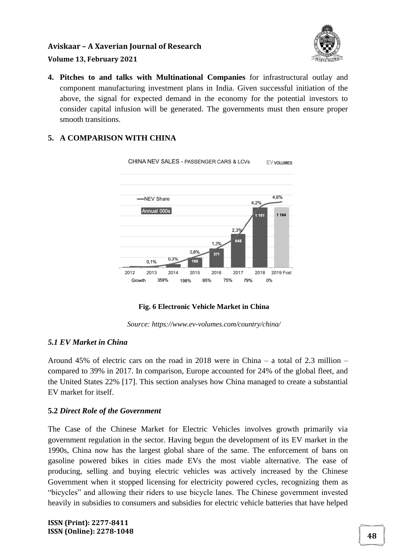

### **Volume 13, February 2021**

**4. Pitches to and talks with Multinational Companies** for infrastructural outlay and component manufacturing investment plans in India. Given successful initiation of the above, the signal for expected demand in the economy for the potential investors to consider capital infusion will be generated. The governments must then ensure proper smooth transitions.

### **5. A COMPARISON WITH CHINA**



**Fig. 6 Electronic Vehicle Market in China**

*Source: https://www.ev-volumes.com/country/china/*

#### *5.1 EV Market in China*

Around 45% of electric cars on the road in 2018 were in China – a total of 2.3 million – compared to 39% in 2017. In comparison, Europe accounted for 24% of the global fleet, and the United States 22% [17]. This section analyses how China managed to create a substantial EV market for itself.

#### **5.2** *Direct Role of the Government*

The Case of the Chinese Market for Electric Vehicles involves growth primarily via government regulation in the sector. Having begun the development of its EV market in the 1990s, China now has the largest global share of the same. The enforcement of bans on gasoline powered bikes in cities made EVs the most viable alternative. The ease of producing, selling and buying electric vehicles was actively increased by the Chinese Government when it stopped licensing for electricity powered cycles, recognizing them as "bicycles" and allowing their riders to use bicycle lanes. The Chinese government invested heavily in subsidies to consumers and subsidies for electric vehicle batteries that have helped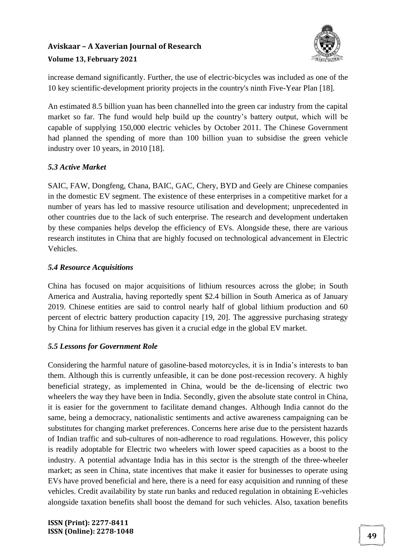

increase demand significantly. Further, the use of electric-bicycles was included as one of the 10 key scientific-development priority projects in the country's ninth Five-Year Plan [18].

An estimated 8.5 billion yuan has been channelled into the green car industry from the capital market so far. The fund would help build up the country's battery output, which will be capable of supplying 150,000 electric vehicles by October 2011. The Chinese Government had planned the spending of more than 100 billion yuan to subsidise the green vehicle industry over 10 years, in 2010 [18].

## *5.3 Active Market*

SAIC, FAW, Dongfeng, Chana, BAIC, GAC, Chery, BYD and Geely are Chinese companies in the domestic EV segment. The existence of these enterprises in a competitive market for a number of years has led to massive resource utilisation and development; unprecedented in other countries due to the lack of such enterprise. The research and development undertaken by these companies helps develop the efficiency of EVs. Alongside these, there are various research institutes in China that are highly focused on technological advancement in Electric Vehicles.

### *5.4 Resource Acquisitions*

China has focused on major acquisitions of lithium resources across the globe; in South America and Australia, having reportedly spent \$2.4 billion in South America as of January 2019. Chinese entities are said to control nearly half of global lithium production and 60 percent of electric battery production capacity [19, 20]. The aggressive purchasing strategy by China for lithium reserves has given it a crucial edge in the global EV market.

## *5.5 Lessons for Government Role*

Considering the harmful nature of gasoline-based motorcycles, it is in India's interests to ban them. Although this is currently unfeasible, it can be done post-recession recovery. A highly beneficial strategy, as implemented in China, would be the de-licensing of electric two wheelers the way they have been in India. Secondly, given the absolute state control in China, it is easier for the government to facilitate demand changes. Although India cannot do the same, being a democracy, nationalistic sentiments and active awareness campaigning can be substitutes for changing market preferences. Concerns here arise due to the persistent hazards of Indian traffic and sub-cultures of non-adherence to road regulations. However, this policy is readily adoptable for Electric two wheelers with lower speed capacities as a boost to the industry. A potential advantage India has in this sector is the strength of the three-wheeler market; as seen in China, state incentives that make it easier for businesses to operate using EVs have proved beneficial and here, there is a need for easy acquisition and running of these vehicles. Credit availability by state run banks and reduced regulation in obtaining E-vehicles alongside taxation benefits shall boost the demand for such vehicles. Also, taxation benefits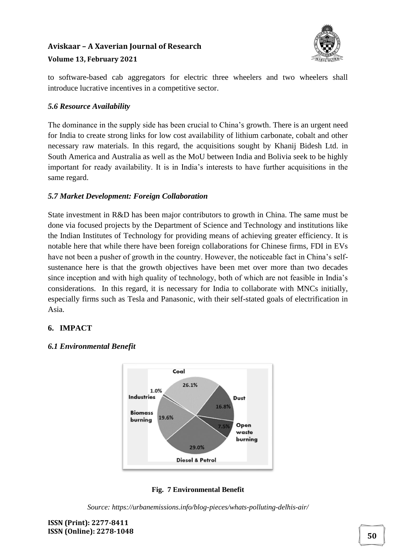

to software-based cab aggregators for electric three wheelers and two wheelers shall introduce lucrative incentives in a competitive sector.

### *5.6 Resource Availability*

The dominance in the supply side has been crucial to China's growth. There is an urgent need for India to create strong links for low cost availability of lithium carbonate, cobalt and other necessary raw materials. In this regard, the acquisitions sought by Khanij Bidesh Ltd. in South America and Australia as well as the MoU between India and Bolivia seek to be highly important for ready availability. It is in India's interests to have further acquisitions in the same regard.

## *5.7 Market Development: Foreign Collaboration*

State investment in R&D has been major contributors to growth in China. The same must be done via focused projects by the Department of Science and Technology and institutions like the Indian Institutes of Technology for providing means of achieving greater efficiency. It is notable here that while there have been foreign collaborations for Chinese firms, FDI in EVs have not been a pusher of growth in the country. However, the noticeable fact in China's selfsustenance here is that the growth objectives have been met over more than two decades since inception and with high quality of technology, both of which are not feasible in India's considerations. In this regard, it is necessary for India to collaborate with MNCs initially, especially firms such as Tesla and Panasonic, with their self-stated goals of electrification in Asia.

#### **6. IMPACT**

#### *6.1 Environmental Benefit*



**Fig. 7 Environmental Benefit**

*Source: https://urbanemissions.info/blog-pieces/whats-polluting-delhis-air/*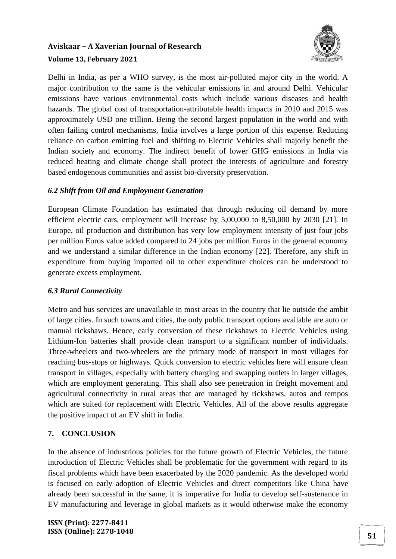

Delhi in India, as per a WHO survey, is the most air-polluted major city in the world. A major contribution to the same is the vehicular emissions in and around Delhi. Vehicular emissions have various environmental costs which include various diseases and health hazards. The global cost of transportation-attributable health impacts in 2010 and 2015 was approximately USD one trillion. Being the second largest population in the world and with often failing control mechanisms, India involves a large portion of this expense. Reducing reliance on carbon emitting fuel and shifting to Electric Vehicles shall majorly benefit the Indian society and economy. The indirect benefit of lower GHG emissions in India via reduced heating and climate change shall protect the interests of agriculture and forestry based endogenous communities and assist bio-diversity preservation.

### *6.2 Shift from Oil and Employment Generation*

European Climate Foundation has estimated that through reducing oil demand by more efficient electric cars, employment will increase by 5,00,000 to 8,50,000 by 2030 [21]. In Europe, oil production and distribution has very low employment intensity of just four jobs per million Euros value added compared to 24 jobs per million Euros in the general economy and we understand a similar difference in the Indian economy [22]. Therefore, any shift in expenditure from buying imported oil to other expenditure choices can be understood to generate excess employment.

#### *6.3 Rural Connectivity*

Metro and bus services are unavailable in most areas in the country that lie outside the ambit of large cities. In such towns and cities, the only public transport options available are auto or manual rickshaws. Hence, early conversion of these rickshaws to Electric Vehicles using Lithium-Ion batteries shall provide clean transport to a significant number of individuals. Three-wheelers and two-wheelers are the primary mode of transport in most villages for reaching bus-stops or highways. Quick conversion to electric vehicles here will ensure clean transport in villages, especially with battery charging and swapping outlets in larger villages, which are employment generating. This shall also see penetration in freight movement and agricultural connectivity in rural areas that are managed by rickshaws, autos and tempos which are suited for replacement with Electric Vehicles. All of the above results aggregate the positive impact of an EV shift in India.

## **7. CONCLUSION**

In the absence of industrious policies for the future growth of Electric Vehicles, the future introduction of Electric Vehicles shall be problematic for the government with regard to its fiscal problems which have been exacerbated by the 2020 pandemic. As the developed world is focused on early adoption of Electric Vehicles and direct competitors like China have already been successful in the same, it is imperative for India to develop self-sustenance in EV manufacturing and leverage in global markets as it would otherwise make the economy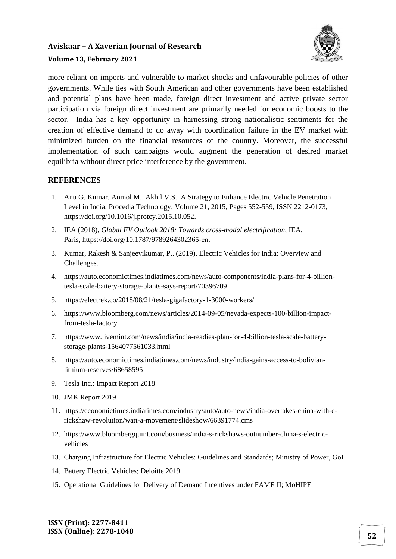

#### **Volume 13, February 2021**

more reliant on imports and vulnerable to market shocks and unfavourable policies of other governments. While ties with South American and other governments have been established and potential plans have been made, foreign direct investment and active private sector participation via foreign direct investment are primarily needed for economic boosts to the sector. India has a key opportunity in harnessing strong nationalistic sentiments for the creation of effective demand to do away with coordination failure in the EV market with minimized burden on the financial resources of the country. Moreover, the successful implementation of such campaigns would augment the generation of desired market equilibria without direct price interference by the government.

#### **REFERENCES**

- 1. Anu G. Kumar, Anmol M., Akhil V.S., A Strategy to Enhance Electric Vehicle Penetration Level in India, Procedia Technology, Volume 21, 2015, Pages 552-559, ISSN 2212-0173, https://doi.org/10.1016/j.protcy.2015.10.052.
- 2. IEA (2018), *Global EV Outlook 2018: Towards cross-modal electrification*, IEA, Paris, https://doi.org/10.1787/9789264302365-en.
- 3. Kumar, Rakesh & Sanjeevikumar, P.. (2019). Electric Vehicles for India: Overview and Challenges.
- 4. https://auto.economictimes.indiatimes.com/news/auto-components/india-plans-for-4-billiontesla-scale-battery-storage-plants-says-report/70396709
- 5. https://electrek.co/2018/08/21/tesla-gigafactory-1-3000-workers/
- 6. https://www.bloomberg.com/news/articles/2014-09-05/nevada-expects-100-billion-impactfrom-tesla-factory
- 7. https://www.livemint.com/news/india/india-readies-plan-for-4-billion-tesla-scale-batterystorage-plants-1564077561033.html
- 8. https://auto.economictimes.indiatimes.com/news/industry/india-gains-access-to-bolivianlithium-reserves/68658595
- 9. Tesla Inc.: Impact Report 2018
- 10. JMK Report 2019
- 11. https://economictimes.indiatimes.com/industry/auto/auto-news/india-overtakes-china-with-erickshaw-revolution/watt-a-movement/slideshow/66391774.cms
- 12. https://www.bloombergquint.com/business/india-s-rickshaws-outnumber-china-s-electricvehicles
- 13. Charging Infrastructure for Electric Vehicles: Guidelines and Standards; Ministry of Power, GoI
- 14. Battery Electric Vehicles; Deloitte 2019
- 15. Operational Guidelines for Delivery of Demand Incentives under FAME II; MoHIPE